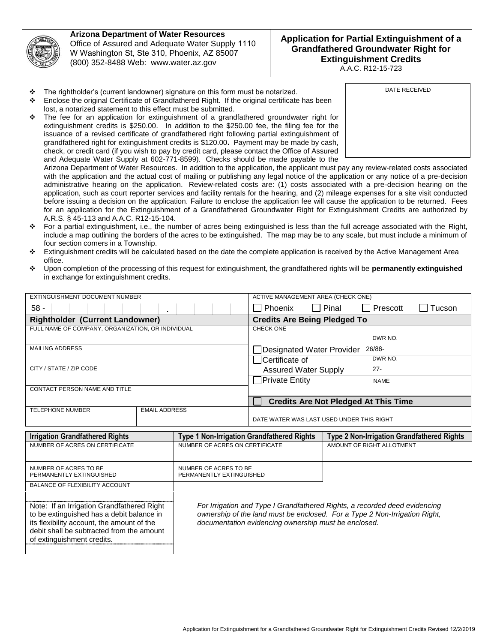

**Arizona Department of Water Resources**  Office of Assured and Adequate Water Supply 1110 W Washington St, Ste 310, Phoenix, AZ 85007 (800) 352-8488 Web: www.water.az.gov

## **Application for Partial Extinguishment of a Grandfathered Groundwater Right for Extinguishment Credits**

A.A.C. R12-15-723

- $\div$  The rightholder's (current landowner) signature on this form must be notarized.
- $\div$  Enclose the original Certificate of Grandfathered Right. If the original certificate has been lost, a notarized statement to this effect must be submitted.
- $\div$  The fee for an application for extinguishment of a grandfathered groundwater right for extinguishment credits is \$250.00. In addition to the \$250.00 fee, the filing fee for the issuance of a revised certificate of grandfathered right following partial extinguishment of grandfathered right for extinguishment credits is \$120.00**.** Payment may be made by cash, check, or credit card (if you wish to pay by credit card, please contact the Office of Assured and Adequate Water Supply at 602-771-8599). Checks should be made payable to the

DATE RECEIVED

Arizona Department of Water Resources. In addition to the application, the applicant must pay any review-related costs associated with the application and the actual cost of mailing or publishing any legal notice of the application or any notice of a pre-decision administrative hearing on the application. Review-related costs are: (1) costs associated with a pre-decision hearing on the application, such as court reporter services and facility rentals for the hearing, and (2) mileage expenses for a site visit conducted before issuing a decision on the application. Failure to enclose the application fee will cause the application to be returned. Fees for an application for the Extinguishment of a Grandfathered Groundwater Right for Extinguishment Credits are authorized by A.R.S. § 45-113 and A.A.C. R12-15-104.

- For a partial extinguishment, i.e., the number of acres being extinguished is less than the full acreage associated with the Right, include a map outlining the borders of the acres to be extinguished. The map may be to any scale, but must include a minimum of four section corners in a Township.
- Extinguishment credits will be calculated based on the date the complete application is received by the Active Management Area office.
- Upon completion of the processing of this request for extinguishment, the grandfathered rights will be **permanently extinguished** in exchange for extinguishment credits.

| EXTINGUISHMENT DOCUMENT NUMBER                                                          |                      |                                                                                                                                    | ACTIVE MANAGEMENT AREA (CHECK ONE)          |              |                                                   |        |
|-----------------------------------------------------------------------------------------|----------------------|------------------------------------------------------------------------------------------------------------------------------------|---------------------------------------------|--------------|---------------------------------------------------|--------|
| $58 -$                                                                                  |                      |                                                                                                                                    | Phoenix                                     | $\Box$ Pinal | Prescott                                          | Tucson |
| <b>Rightholder (Current Landowner)</b>                                                  |                      |                                                                                                                                    | <b>Credits Are Being Pledged To</b>         |              |                                                   |        |
| FULL NAME OF COMPANY, ORGANIZATION, OR INDIVIDUAL                                       |                      |                                                                                                                                    | <b>CHECK ONE</b>                            |              |                                                   |        |
|                                                                                         |                      |                                                                                                                                    | DWR NO.                                     |              |                                                   |        |
| <b>MAILING ADDRESS</b>                                                                  |                      |                                                                                                                                    | 26/86-<br>Designated Water Provider         |              |                                                   |        |
|                                                                                         |                      |                                                                                                                                    | □ Certificate of                            |              | DWR NO.                                           |        |
| CITY / STATE / ZIP CODE                                                                 |                      |                                                                                                                                    | $27 -$<br><b>Assured Water Supply</b>       |              |                                                   |        |
|                                                                                         |                      |                                                                                                                                    | <b>Private Entity</b>                       |              | <b>NAME</b>                                       |        |
| CONTACT PERSON NAME AND TITLE                                                           |                      |                                                                                                                                    |                                             |              |                                                   |        |
|                                                                                         |                      |                                                                                                                                    | <b>Credits Are Not Pledged At This Time</b> |              |                                                   |        |
| <b>TELEPHONE NUMBER</b>                                                                 | <b>EMAIL ADDRESS</b> |                                                                                                                                    |                                             |              |                                                   |        |
|                                                                                         |                      |                                                                                                                                    | DATE WATER WAS LAST USED UNDER THIS RIGHT   |              |                                                   |        |
| <b>Irrigation Grandfathered Rights</b>                                                  |                      | <b>Type 1 Non-Irrigation Grandfathered Rights</b>                                                                                  |                                             |              | <b>Type 2 Non-Irrigation Grandfathered Rights</b> |        |
| NUMBER OF ACRES ON CERTIFICATE                                                          |                      | NUMBER OF ACRES ON CERTIFICATE                                                                                                     |                                             |              | AMOUNT OF RIGHT ALLOTMENT                         |        |
|                                                                                         |                      |                                                                                                                                    |                                             |              |                                                   |        |
| NUMBER OF ACRES TO BE                                                                   |                      | NUMBER OF ACRES TO BE                                                                                                              |                                             |              |                                                   |        |
| PERMANENTLY EXTINGUISHED                                                                |                      | PERMANENTLY EXTINGUISHED                                                                                                           |                                             |              |                                                   |        |
| <b>BALANCE OF FLEXIBILITY ACCOUNT</b>                                                   |                      |                                                                                                                                    |                                             |              |                                                   |        |
|                                                                                         |                      |                                                                                                                                    |                                             |              |                                                   |        |
| Note: If an Irrigation Grandfathered Right                                              |                      | For Irrigation and Type I Grandfathered Rights, a recorded deed evidencing                                                         |                                             |              |                                                   |        |
| to be extinguished has a debit balance in<br>its flexibility account, the amount of the |                      | ownership of the land must be enclosed. For a Type 2 Non-Irrigation Right,<br>documentation evidencing ownership must be enclosed. |                                             |              |                                                   |        |
| debit shall be subtracted from the amount                                               |                      |                                                                                                                                    |                                             |              |                                                   |        |
| of extinguishment credits.                                                              |                      |                                                                                                                                    |                                             |              |                                                   |        |
|                                                                                         |                      |                                                                                                                                    |                                             |              |                                                   |        |